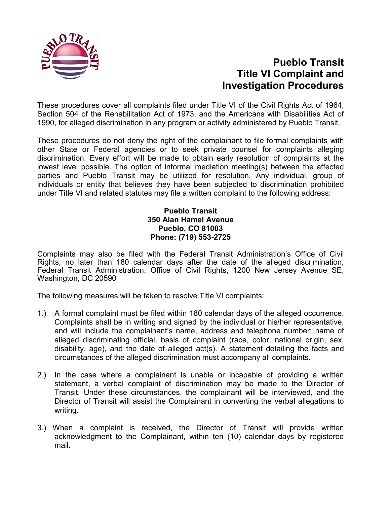

## **Pueblo Transit Title VI Complaint and Investigation Procedures**

These procedures cover all complaints filed under Title VI of the Civil Rights Act of 1964, Section 504 of the Rehabilitation Act of 1973, and the Americans with Disabilities Act of 1990, for alleged discrimination in any program or activity administered by Pueblo Transit.

These procedures do not deny the right of the complainant to file formal complaints with other State or Federal agencies or to seek private counsel for complaints alleging discrimination. Every effort will be made to obtain early resolution of complaints at the lowest level possible. The option of informal mediation meeting(s) between the affected parties and Pueblo Transit may be utilized for resolution. Any individual, group of individuals or entity that believes they have been subjected to discrimination prohibited under Title VI and related statutes may file a written complaint to the following address:

## **Pueblo Transit 350 Alan Hamel Avenue Pueblo, CO 81003 Phone: (719) 553-2725**

Complaints may also be filed with the Federal Transit Administration's Office of Civil Rights, no later than 180 calendar days after the date of the alleged discrimination, Federal Transit Administration, Office of Civil Rights, 1200 New Jersey Avenue SE, Washington, DC 20590

The following measures will be taken to resolve Title VI complaints:

- 1.) A formal complaint must be filed within 180 calendar days of the alleged occurrence. Complaints shall be in writing and signed by the individual or his/her representative, and will include the complainant's name, address and telephone number; name of alleged discriminating official, basis of complaint (race, color, national origin, sex, disability, age), and the date of alleged act(s). A statement detailing the facts and circumstances of the alleged discrimination must accompany all complaints.
- 2.) In the case where a complainant is unable or incapable of providing a written statement, a verbal complaint of discrimination may be made to the Director of Transit. Under these circumstances, the complainant will be interviewed, and the Director of Transit will assist the Complainant in converting the verbal allegations to writing.
- 3.) When a complaint is received, the Director of Transit will provide written acknowledgment to the Complainant, within ten (10) calendar days by registered mail.